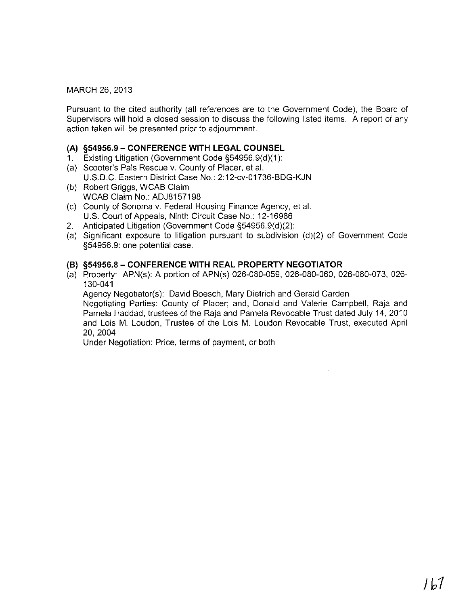## MARCH 26, 2013

Pursuant to the cited authority (all references are to the Government Code), the Board of Supervisors will hold a closed session to discuss the following listed items. A report of any action taken will be presented prior to adjournment.

## **(A) §54956.9 - CONFERENCE WITH LEGAL COUNSEL**

- 1. Existing Litigation (Government Code §54956.9(d)(1):
- (a) Scooter's Pals Rescue v. County of Placer, et al. U.S.D.C. Eastern District Case No.: 2:12-cv-01736-BDG-KJN
- (b) Robert Griggs, WCAB Claim WCAB Claim No.: ADJ8157198
- (c) County of Sonoma v. Federal Housing Finance Agency, et al. U.S. Court of Appeals, Ninth Circuit Case No.: 12-16986
- 2. Anticipated Litigation (Government Code §54956.9(d)(2):
- (a) Significant exposure to litigation pursuant to subdivision (d)(2) of Government Code §54956.9: one potential case.

## **(B) §54956.8 - CONFERENCE WITH REAL PROPERTY NEGOTIATOR**

(a) Property: APN(s): A portion of APN(s) 026-080-059, 026-080-060, 026-080-073, 026- 130-041 Agency Negotiator(s): David Boesch, Mary Dietrich and Gerald Carden

Negotiating Parties: County of Placer; and, Donald and Valerie Campbell, Raja and Pamela Haddad, trustees of the Raja and Pamela Revocable Trust dated July 14, 2010 and Lois M. Loudon, Trustee of the Lois M. Loudon Revocable Trust, executed April 20,2004

Under Negotiation: Price, terms of payment, or both